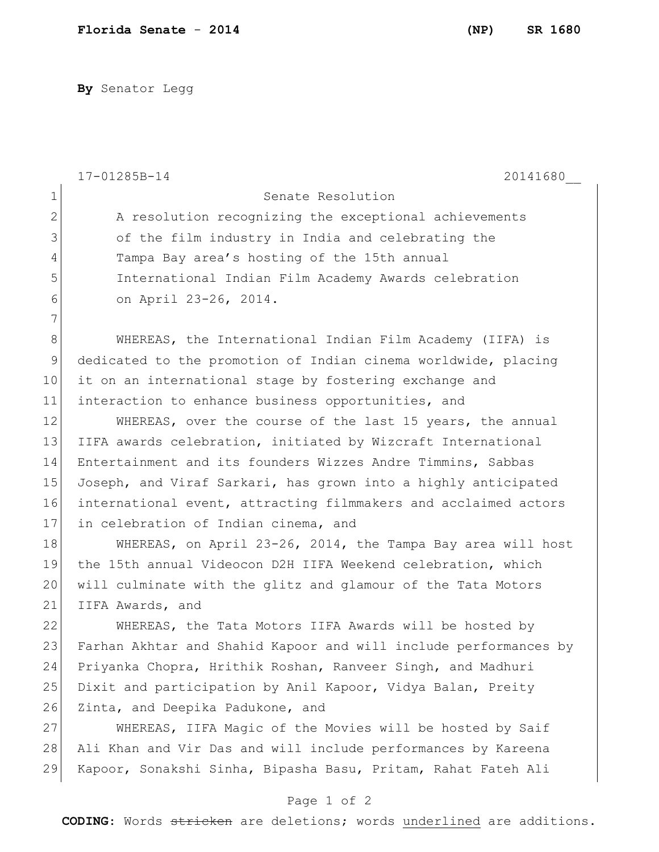**By** Senator Legg

|              | 17-01285B-14<br>20141680                                         |
|--------------|------------------------------------------------------------------|
| $\mathbf{1}$ | Senate Resolution                                                |
| $\mathbf{2}$ | A resolution recognizing the exceptional achievements            |
| 3            | of the film industry in India and celebrating the                |
| 4            | Tampa Bay area's hosting of the 15th annual                      |
| 5            | International Indian Film Academy Awards celebration             |
| 6            | on April 23-26, 2014.                                            |
| 7            |                                                                  |
| $8\,$        | WHEREAS, the International Indian Film Academy (IIFA) is         |
| $\mathsf 9$  | dedicated to the promotion of Indian cinema worldwide, placing   |
| 10           | it on an international stage by fostering exchange and           |
| 11           | interaction to enhance business opportunities, and               |
| 12           | WHEREAS, over the course of the last 15 years, the annual        |
| 13           | IIFA awards celebration, initiated by Wizcraft International     |
| 14           | Entertainment and its founders Wizzes Andre Timmins, Sabbas      |
| 15           | Joseph, and Viraf Sarkari, has grown into a highly anticipated   |
| 16           | international event, attracting filmmakers and acclaimed actors  |
| 17           | in celebration of Indian cinema, and                             |
| 18           | WHEREAS, on April 23-26, 2014, the Tampa Bay area will host      |
| 19           | the 15th annual Videocon D2H IIFA Weekend celebration, which     |
| 20           | will culminate with the glitz and glamour of the Tata Motors     |
| 21           | IIFA Awards, and                                                 |
| 22           | WHEREAS, the Tata Motors IIFA Awards will be hosted by           |
| 23           | Farhan Akhtar and Shahid Kapoor and will include performances by |
| 24           | Priyanka Chopra, Hrithik Roshan, Ranveer Singh, and Madhuri      |
| 25           | Dixit and participation by Anil Kapoor, Vidya Balan, Preity      |
| 26           | Zinta, and Deepika Padukone, and                                 |
| 27           | WHEREAS, IIFA Magic of the Movies will be hosted by Saif         |
| 28           | Ali Khan and Vir Das and will include performances by Kareena    |
| 29           | Kapoor, Sonakshi Sinha, Bipasha Basu, Pritam, Rahat Fateh Ali    |
|              |                                                                  |

## Page 1 of 2

**CODING**: Words stricken are deletions; words underlined are additions.